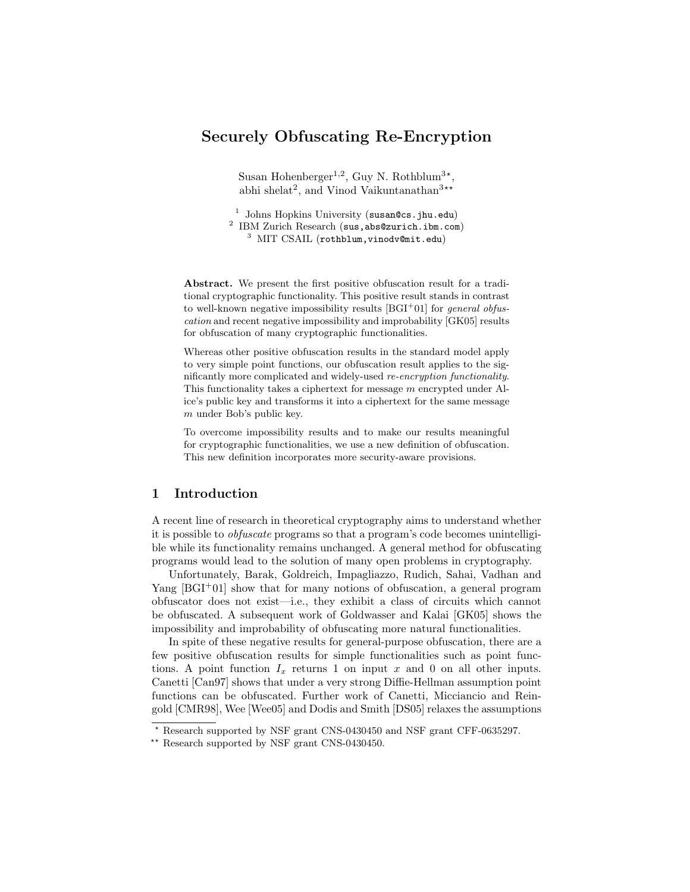# Securely Obfuscating Re-Encryption

Susan Hohenberger<sup>1,2</sup>, Guy N. Rothblum<sup>3\*</sup>, abhi shelat<sup>2</sup>, and Vinod Vaikuntanathan<sup>3\*\*</sup>

<sup>1</sup> Johns Hopkins University (susan@cs.jhu.edu)  $^2$  IBM Zurich Research (sus, abs@zurich.ibm.com) <sup>3</sup> MIT CSAIL (rothblum, vinodv@mit.edu)

Abstract. We present the first positive obfuscation result for a traditional cryptographic functionality. This positive result stands in contrast to well-known negative impossibility results  $[{\rm BGI}^+01]$  for *general obfus*cation and recent negative impossibility and improbability [GK05] results for obfuscation of many cryptographic functionalities.

Whereas other positive obfuscation results in the standard model apply to very simple point functions, our obfuscation result applies to the significantly more complicated and widely-used re-encryption functionality. This functionality takes a ciphertext for message m encrypted under Alice's public key and transforms it into a ciphertext for the same message m under Bob's public key.

To overcome impossibility results and to make our results meaningful for cryptographic functionalities, we use a new definition of obfuscation. This new definition incorporates more security-aware provisions.

# 1 Introduction

A recent line of research in theoretical cryptography aims to understand whether it is possible to obfuscate programs so that a program's code becomes unintelligible while its functionality remains unchanged. A general method for obfuscating programs would lead to the solution of many open problems in cryptography.

Unfortunately, Barak, Goldreich, Impagliazzo, Rudich, Sahai, Vadhan and Yang  $[\text{BGI}^+01]$  show that for many notions of obfuscation, a general program obfuscator does not exist—i.e., they exhibit a class of circuits which cannot be obfuscated. A subsequent work of Goldwasser and Kalai [GK05] shows the impossibility and improbability of obfuscating more natural functionalities.

In spite of these negative results for general-purpose obfuscation, there are a few positive obfuscation results for simple functionalities such as point functions. A point function  $I_x$  returns 1 on input x and 0 on all other inputs. Canetti [Can97] shows that under a very strong Diffie-Hellman assumption point functions can be obfuscated. Further work of Canetti, Micciancio and Reingold [CMR98], Wee [Wee05] and Dodis and Smith [DS05] relaxes the assumptions

<sup>?</sup> Research supported by NSF grant CNS-0430450 and NSF grant CFF-0635297.

<sup>\*\*</sup> Research supported by NSF grant CNS-0430450.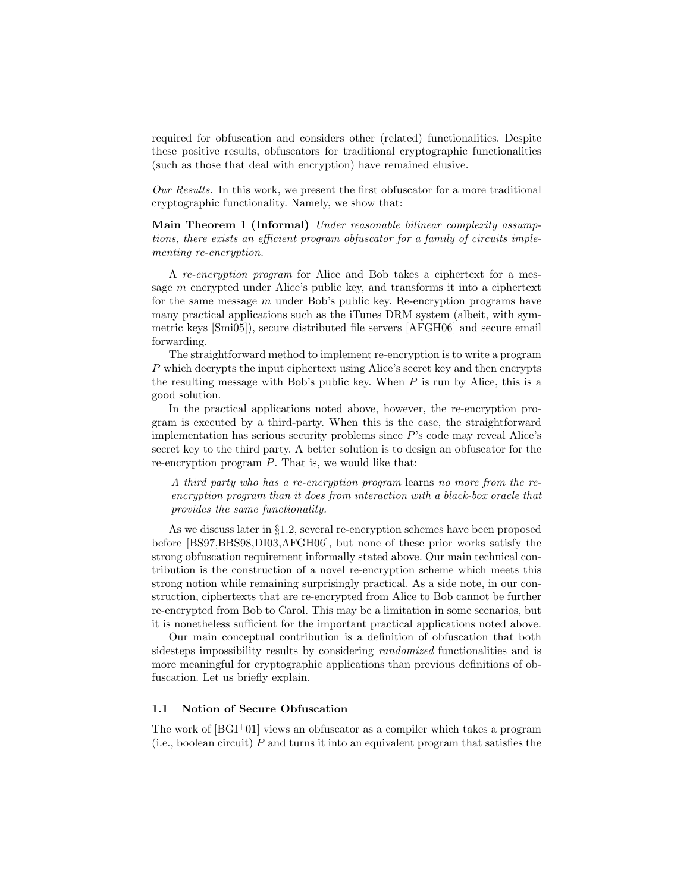required for obfuscation and considers other (related) functionalities. Despite these positive results, obfuscators for traditional cryptographic functionalities (such as those that deal with encryption) have remained elusive.

Our Results. In this work, we present the first obfuscator for a more traditional cryptographic functionality. Namely, we show that:

Main Theorem 1 (Informal) Under reasonable bilinear complexity assumptions, there exists an efficient program obfuscator for a family of circuits implementing re-encryption.

A re-encryption program for Alice and Bob takes a ciphertext for a message m encrypted under Alice's public key, and transforms it into a ciphertext for the same message  $m$  under Bob's public key. Re-encryption programs have many practical applications such as the iTunes DRM system (albeit, with symmetric keys [Smi05]), secure distributed file servers [AFGH06] and secure email forwarding.

The straightforward method to implement re-encryption is to write a program P which decrypts the input ciphertext using Alice's secret key and then encrypts the resulting message with Bob's public key. When  $P$  is run by Alice, this is a good solution.

In the practical applications noted above, however, the re-encryption program is executed by a third-party. When this is the case, the straightforward implementation has serious security problems since P's code may reveal Alice's secret key to the third party. A better solution is to design an obfuscator for the re-encryption program P. That is, we would like that:

A third party who has a re-encryption program learns no more from the reencryption program than it does from interaction with a black-box oracle that provides the same functionality.

As we discuss later in §1.2, several re-encryption schemes have been proposed before [BS97,BBS98,DI03,AFGH06], but none of these prior works satisfy the strong obfuscation requirement informally stated above. Our main technical contribution is the construction of a novel re-encryption scheme which meets this strong notion while remaining surprisingly practical. As a side note, in our construction, ciphertexts that are re-encrypted from Alice to Bob cannot be further re-encrypted from Bob to Carol. This may be a limitation in some scenarios, but it is nonetheless sufficient for the important practical applications noted above.

Our main conceptual contribution is a definition of obfuscation that both sidesteps impossibility results by considering randomized functionalities and is more meaningful for cryptographic applications than previous definitions of obfuscation. Let us briefly explain.

#### 1.1 Notion of Secure Obfuscation

The work of  $[**BGI**<sup>+</sup>01]$  views an obfuscator as a compiler which takes a program (i.e., boolean circuit)  $P$  and turns it into an equivalent program that satisfies the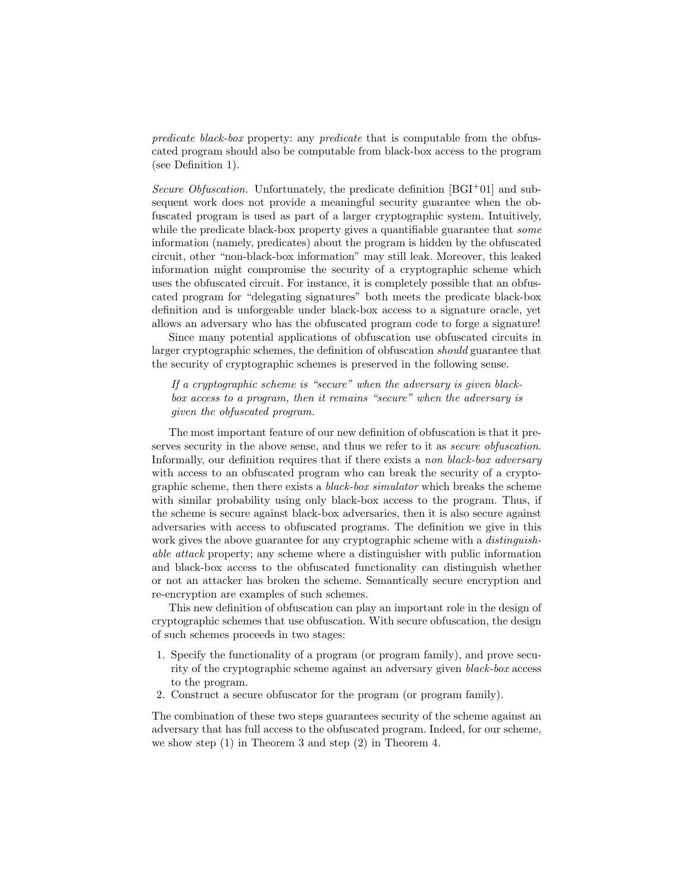predicate black-box property: any predicate that is computable from the obfuscated program should also be computable from black-box access to the program (see Definition 1).

Secure Obfuscation. Unfortunately, the predicate definition  $[{\rm B}G I^+01]$  and subsequent work does not provide a meaningful security guarantee when the obfuscated program is used as part of a larger cryptographic system. Intuitively, while the predicate black-box property gives a quantifiable guarantee that *some* information (namely, predicates) about the program is hidden by the obfuscated circuit, other "non-black-box information" may still leak. Moreover, this leaked information might compromise the security of a cryptographic scheme which uses the obfuscated circuit. For instance, it is completely possible that an obfuscated program for "delegating signatures" both meets the predicate black-box definition and is unforgeable under black-box access to a signature oracle, yet allows an adversary who has the obfuscated program code to forge a signature!

Since many potential applications of obfuscation use obfuscated circuits in larger cryptographic schemes, the definition of obfuscation should guarantee that the security of cryptographic schemes is preserved in the following sense.

If a cryptographic scheme is "secure" when the adversary is given blackbox access to a program, then it remains "secure" when the adversary is given the obfuscated program.

The most important feature of our new definition of obfuscation is that it preserves security in the above sense, and thus we refer to it as *secure obfuscation*. Informally, our definition requires that if there exists a non black-box adversary with access to an obfuscated program who can break the security of a cryptographic scheme, then there exists a black-box simulator which breaks the scheme with similar probability using only black-box access to the program. Thus, if the scheme is secure against black-box adversaries, then it is also secure against adversaries with access to obfuscated programs. The definition we give in this work gives the above guarantee for any cryptographic scheme with a *distinguish*able attack property; any scheme where a distinguisher with public information and black-box access to the obfuscated functionality can distinguish whether or not an attacker has broken the scheme. Semantically secure encryption and re-encryption are examples of such schemes.

This new definition of obfuscation can play an important role in the design of cryptographic schemes that use obfuscation. With secure obfuscation, the design of such schemes proceeds in two stages:

- 1. Specify the functionality of a program (or program family), and prove security of the cryptographic scheme against an adversary given black-box access to the program.
- 2. Construct a secure obfuscator for the program (or program family).

The combination of these two steps guarantees security of the scheme against an adversary that has full access to the obfuscated program. Indeed, for our scheme, we show step (1) in Theorem 3 and step (2) in Theorem 4.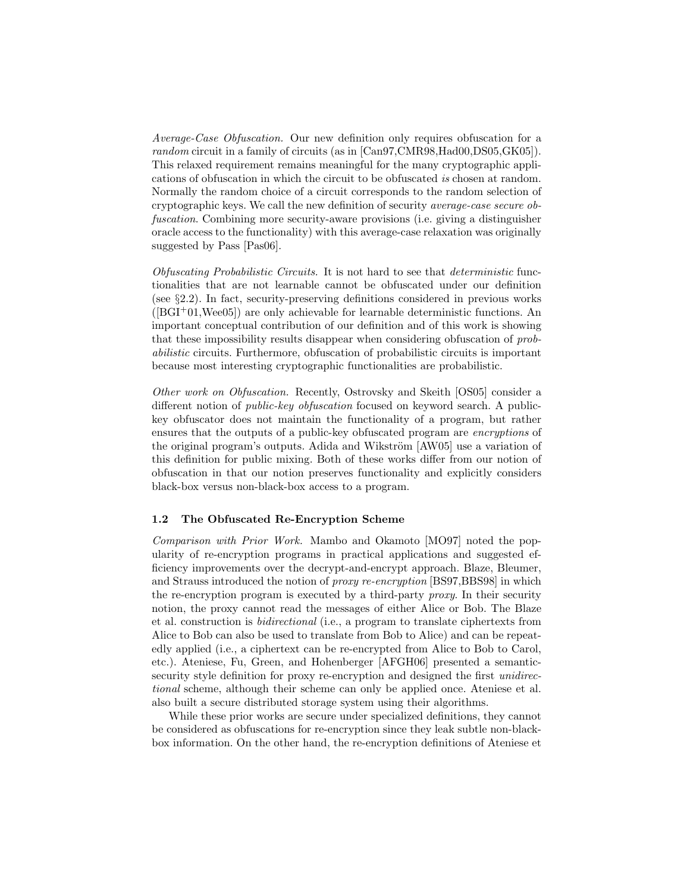Average-Case Obfuscation. Our new definition only requires obfuscation for a random circuit in a family of circuits (as in [Can97,CMR98,Had00,DS05,GK05]). This relaxed requirement remains meaningful for the many cryptographic applications of obfuscation in which the circuit to be obfuscated is chosen at random. Normally the random choice of a circuit corresponds to the random selection of cryptographic keys. We call the new definition of security average-case secure obfuscation. Combining more security-aware provisions (i.e. giving a distinguisher oracle access to the functionality) with this average-case relaxation was originally suggested by Pass [Pas06].

Obfuscating Probabilistic Circuits. It is not hard to see that deterministic functionalities that are not learnable cannot be obfuscated under our definition (see §2.2). In fact, security-preserving definitions considered in previous works  $([BGI<sup>+</sup>01, Wee05])$  are only achievable for learnable deterministic functions. An important conceptual contribution of our definition and of this work is showing that these impossibility results disappear when considering obfuscation of probabilistic circuits. Furthermore, obfuscation of probabilistic circuits is important because most interesting cryptographic functionalities are probabilistic.

Other work on Obfuscation. Recently, Ostrovsky and Skeith [OS05] consider a different notion of *public-key obfuscation* focused on keyword search. A publickey obfuscator does not maintain the functionality of a program, but rather ensures that the outputs of a public-key obfuscated program are encryptions of the original program's outputs. Adida and Wikström [AW05] use a variation of this definition for public mixing. Both of these works differ from our notion of obfuscation in that our notion preserves functionality and explicitly considers black-box versus non-black-box access to a program.

#### 1.2 The Obfuscated Re-Encryption Scheme

Comparison with Prior Work. Mambo and Okamoto [MO97] noted the popularity of re-encryption programs in practical applications and suggested efficiency improvements over the decrypt-and-encrypt approach. Blaze, Bleumer, and Strauss introduced the notion of proxy re-encryption [BS97,BBS98] in which the re-encryption program is executed by a third-party proxy. In their security notion, the proxy cannot read the messages of either Alice or Bob. The Blaze et al. construction is bidirectional (i.e., a program to translate ciphertexts from Alice to Bob can also be used to translate from Bob to Alice) and can be repeatedly applied (i.e., a ciphertext can be re-encrypted from Alice to Bob to Carol, etc.). Ateniese, Fu, Green, and Hohenberger [AFGH06] presented a semanticsecurity style definition for proxy re-encryption and designed the first *unidirec*tional scheme, although their scheme can only be applied once. Ateniese et al. also built a secure distributed storage system using their algorithms.

While these prior works are secure under specialized definitions, they cannot be considered as obfuscations for re-encryption since they leak subtle non-blackbox information. On the other hand, the re-encryption definitions of Ateniese et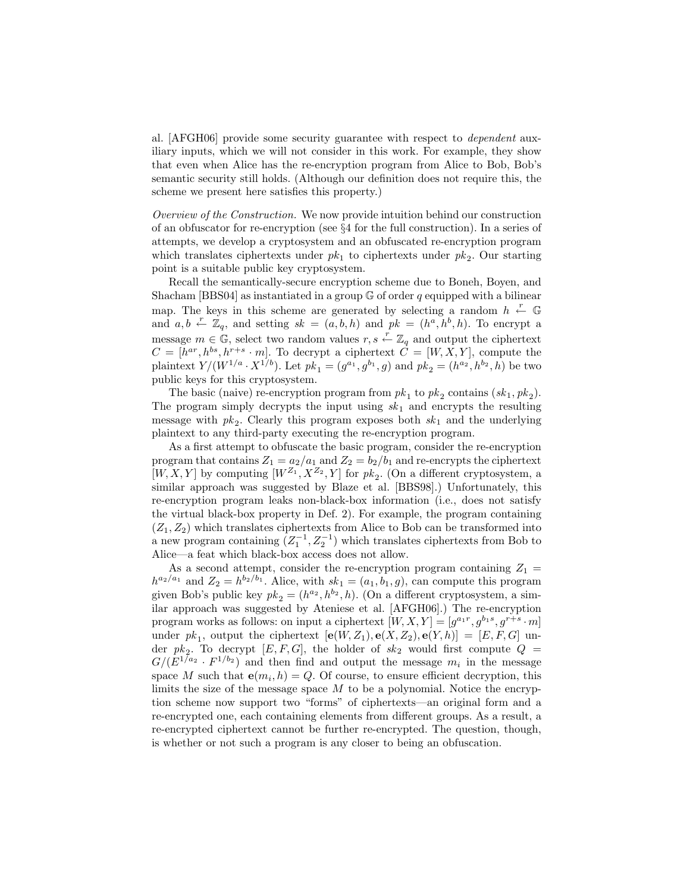al. [AFGH06] provide some security guarantee with respect to dependent auxiliary inputs, which we will not consider in this work. For example, they show that even when Alice has the re-encryption program from Alice to Bob, Bob's semantic security still holds. (Although our definition does not require this, the scheme we present here satisfies this property.)

Overview of the Construction. We now provide intuition behind our construction of an obfuscator for re-encryption (see §4 for the full construction). In a series of attempts, we develop a cryptosystem and an obfuscated re-encryption program which translates ciphertexts under  $pk_1$  to ciphertexts under  $pk_2$ . Our starting point is a suitable public key cryptosystem.

Recall the semantically-secure encryption scheme due to Boneh, Boyen, and Shacham [BBS04] as instantiated in a group  $G$  of order q equipped with a bilinear map. The keys in this scheme are generated by selecting a random  $h \leftarrow \mathbb{G}$ and  $a, b \leftarrow \mathbb{Z}_q$ , and setting  $sk = (a, b, h)$  and  $pk = (h^a, h^b, h)$ . To encrypt a message  $m \in \mathbb{G}$ , select two random values  $r, s \stackrel{r}{\leftarrow} \mathbb{Z}_q$  and output the ciphertext  $C = [h^{ar}, h^{bs}, h^{r+s} \cdot m]$ . To decrypt a ciphertext  $C = [W, X, Y]$ , compute the plaintext  $Y/(W^{1/a} \cdot X^{1/b})$ . Let  $pk_1 = (g^{a_1}, g^{b_1}, g)$  and  $pk_2 = (h^{a_2}, h^{b_2}, h)$  be two public keys for this cryptosystem.

The basic (naive) re-encryption program from  $pk_1$  to  $pk_2$  contains  $(sk_1, pk_2)$ . The program simply decrypts the input using  $sk_1$  and encrypts the resulting message with  $pk_2$ . Clearly this program exposes both  $sk_1$  and the underlying plaintext to any third-party executing the re-encryption program.

As a first attempt to obfuscate the basic program, consider the re-encryption program that contains  $Z_1 = a_2/a_1$  and  $Z_2 = b_2/b_1$  and re-encrypts the ciphertext  $[W, X, Y]$  by computing  $[W^{Z_1}, X^{Z_2}, Y]$  for  $pk_2$ . (On a different cryptosystem, a similar approach was suggested by Blaze et al. [BBS98].) Unfortunately, this re-encryption program leaks non-black-box information (i.e., does not satisfy the virtual black-box property in Def. 2). For example, the program containing  $(Z_1, Z_2)$  which translates ciphertexts from Alice to Bob can be transformed into a new program containing  $(Z_1^{-1}, Z_2^{-1})$  which translates ciphertexts from Bob to Alice—a feat which black-box access does not allow.

As a second attempt, consider the re-encryption program containing  $Z_1 =$  $h^{a_2/a_1}$  and  $Z_2 = h^{b_2/b_1}$ . Alice, with  $sk_1 = (a_1, b_1, g)$ , can compute this program given Bob's public key  $pk_2 = (h^{a_2}, h^{b_2}, h)$ . (On a different cryptosystem, a similar approach was suggested by Ateniese et al. [AFGH06].) The re-encryption program works as follows: on input a ciphertext  $[W, X, Y] = [g^{a_1r}, g^{b_1s}, g^{r+s} \cdot m]$ under  $pk_1$ , output the ciphertext  $[\mathbf{e}(W, Z_1), \mathbf{e}(X, Z_2), \mathbf{e}(Y, h)] = [E, F, G]$  under  $pk_2$ . To decrypt [E, F, G], the holder of  $sk_2$  would first compute  $Q =$  $G/(E^{1/a_2} \cdot F^{1/b_2})$  and then find and output the message  $m_i$  in the message space M such that  $e(m_i, h) = Q$ . Of course, to ensure efficient decryption, this limits the size of the message space  $M$  to be a polynomial. Notice the encryption scheme now support two "forms" of ciphertexts—an original form and a re-encrypted one, each containing elements from different groups. As a result, a re-encrypted ciphertext cannot be further re-encrypted. The question, though, is whether or not such a program is any closer to being an obfuscation.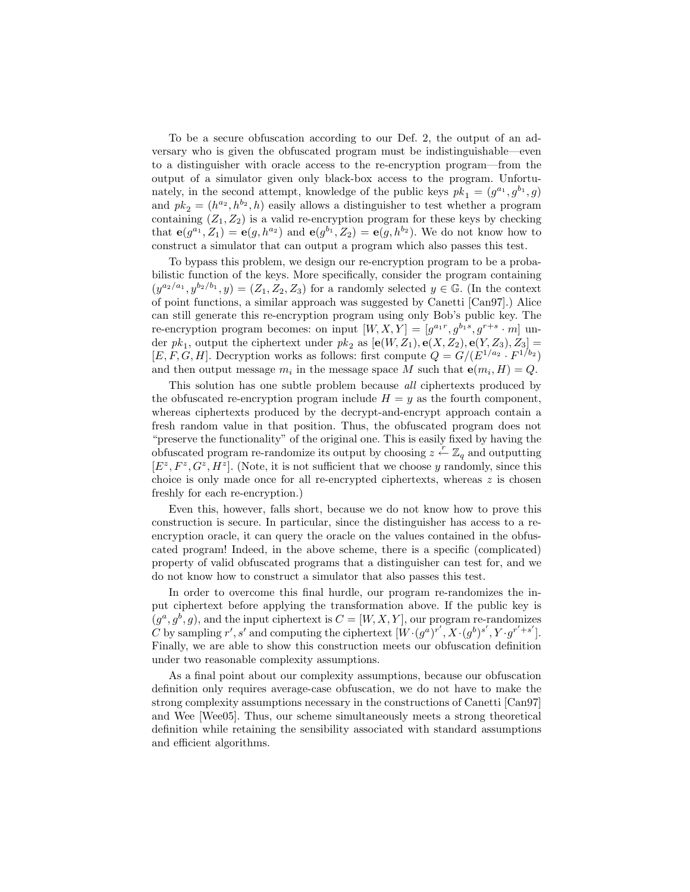To be a secure obfuscation according to our Def. 2, the output of an adversary who is given the obfuscated program must be indistinguishable—even to a distinguisher with oracle access to the re-encryption program—from the output of a simulator given only black-box access to the program. Unfortunately, in the second attempt, knowledge of the public keys  $pk_1 = (g^{a_1}, g^{b_1}, g)$ and  $pk_2 = (h^{a_2}, h^{b_2}, h)$  easily allows a distinguisher to test whether a program containing  $(Z_1, Z_2)$  is a valid re-encryption program for these keys by checking that  $e(g^{a_1}, Z_1) = e(g, h^{a_2})$  and  $e(g^{b_1}, Z_2) = e(g, h^{b_2})$ . We do not know how to construct a simulator that can output a program which also passes this test.

To bypass this problem, we design our re-encryption program to be a probabilistic function of the keys. More specifically, consider the program containing  $(y^{a_2/a_1}, y^{b_2/b_1}, y) = (Z_1, Z_2, Z_3)$  for a randomly selected  $y \in \mathbb{G}$ . (In the context of point functions, a similar approach was suggested by Canetti [Can97].) Alice can still generate this re-encryption program using only Bob's public key. The re-encryption program becomes: on input  $[W, X, Y] = [g^{a_1r}, g^{b_1s}, g^{r+s} \cdot m]$  under  $pk_1$ , output the ciphertext under  $pk_2$  as  $[\mathbf{e}(W, Z_1), \mathbf{e}(X, Z_2), \mathbf{e}(Y, Z_3), Z_3] =$  $[E, F, G, H]$ . Decryption works as follows: first compute  $Q = G/(E^{1/a_2} \cdot F^{1/b_2})$ and then output message  $m_i$  in the message space M such that  $e(m_i, H) = Q$ .

This solution has one subtle problem because all ciphertexts produced by the obfuscated re-encryption program include  $H = y$  as the fourth component, whereas ciphertexts produced by the decrypt-and-encrypt approach contain a fresh random value in that position. Thus, the obfuscated program does not "preserve the functionality" of the original one. This is easily fixed by having the obfuscated program re-randomize its output by choosing  $z \stackrel{\check{r}}{\leftarrow} \mathbb{Z}_q$  and outputting  $[E^z, F^z, G^z, H^z]$ . (Note, it is not sufficient that we choose y randomly, since this choice is only made once for all re-encrypted ciphertexts, whereas  $z$  is chosen freshly for each re-encryption.)

Even this, however, falls short, because we do not know how to prove this construction is secure. In particular, since the distinguisher has access to a reencryption oracle, it can query the oracle on the values contained in the obfuscated program! Indeed, in the above scheme, there is a specific (complicated) property of valid obfuscated programs that a distinguisher can test for, and we do not know how to construct a simulator that also passes this test.

In order to overcome this final hurdle, our program re-randomizes the input ciphertext before applying the transformation above. If the public key is  $(g^a, g^b, g)$ , and the input ciphertext is  $C = [W, X, Y]$ , our program re-randomizes C by sampling r', s' and computing the ciphertext  $[W \cdot (g^a)^{r'}, X \cdot (g^b)^{s'}, Y \cdot g^{r'+s'}].$ Finally, we are able to show this construction meets our obfuscation definition under two reasonable complexity assumptions.

As a final point about our complexity assumptions, because our obfuscation definition only requires average-case obfuscation, we do not have to make the strong complexity assumptions necessary in the constructions of Canetti [Can97] and Wee [Wee05]. Thus, our scheme simultaneously meets a strong theoretical definition while retaining the sensibility associated with standard assumptions and efficient algorithms.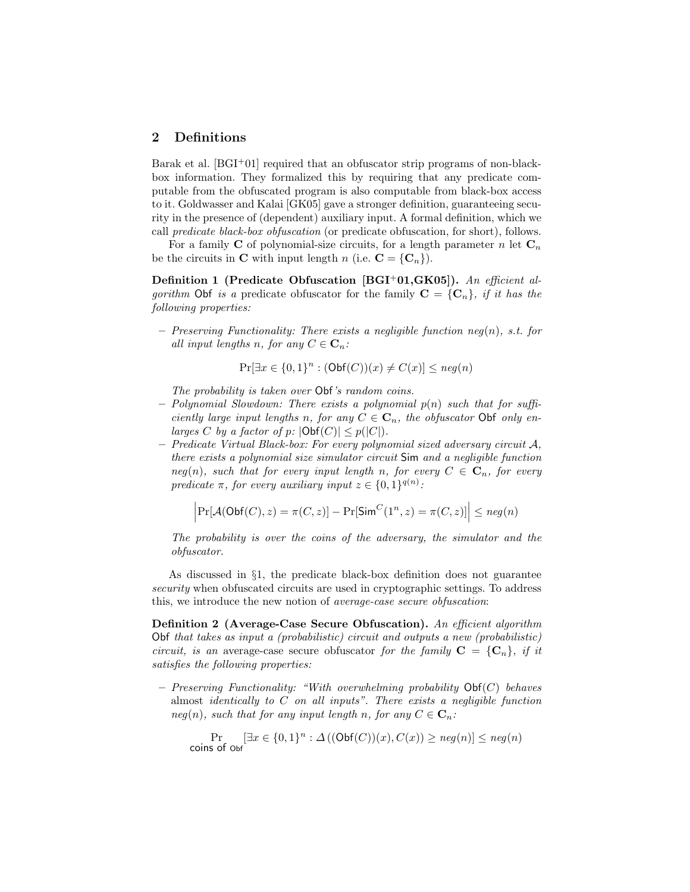# 2 Definitions

Barak et al.  $[BGI^+01]$  required that an obfuscator strip programs of non-blackbox information. They formalized this by requiring that any predicate computable from the obfuscated program is also computable from black-box access to it. Goldwasser and Kalai [GK05] gave a stronger definition, guaranteeing security in the presence of (dependent) auxiliary input. A formal definition, which we call predicate black-box obfuscation (or predicate obfuscation, for short), follows.

For a family C of polynomial-size circuits, for a length parameter n let  $C_n$ be the circuits in **C** with input length n (i.e.  $\mathbf{C} = \{C_n\}$ ).

Definition 1 (Predicate Obfuscation [BGI+01,GK05]). An efficient algorithm Obf is a predicate obfuscator for the family  $\mathbf{C} = \{C_n\}$ , if it has the following properties:

 $-$  Preserving Functionality: There exists a negligible function neg(n), s.t. for all input lengths n, for any  $C \in \mathbf{C}_n$ :

 $Pr[\exists x \in \{0,1\}^n : (Obf(C))(x) \neq C(x)] \leq neg(n)$ 

The probability is taken over Obf's random coins.

- $-$  Polynomial Slowdown: There exists a polynomial  $p(n)$  such that for sufficiently large input lengths n, for any  $C \in \mathbf{C}_n$ , the obfuscator Obf only enlarges C by a factor of p:  $|\text{Obf}(C)| \leq p(|C|)$ .
- Predicate Virtual Black-box: For every polynomial sized adversary circuit A, there exists a polynomial size simulator circuit Sim and a negligible function neg(n), such that for every input length n, for every  $C \in \mathbf{C}_n$ , for every predicate  $\pi$ , for every auxiliary input  $z \in \{0,1\}^{q(n)}$ :

$$
\left|\Pr[\mathcal{A}(\mathsf{Obf}(C), z) = \pi(C, z)] - \Pr[\mathsf{Sim}^C(1^n, z) = \pi(C, z)]\right| \leq neg(n)
$$

The probability is over the coins of the adversary, the simulator and the obfuscator.

As discussed in §1, the predicate black-box definition does not guarantee security when obfuscated circuits are used in cryptographic settings. To address this, we introduce the new notion of average-case secure obfuscation:

Definition 2 (Average-Case Secure Obfuscation). An efficient algorithm Obf that takes as input a (probabilistic) circuit and outputs a new (probabilistic) circuit, is an average-case secure obfuscator for the family  $C = {C_n}$ , if it satisfies the following properties:

 $-$  Preserving Functionality: "With overwhelming probability  $Obf(C)$  behaves almost *identically to C on all inputs*". There exists a negligible function  $neg(n)$ , such that for any input length n, for any  $C \in \mathbb{C}_n$ :

$$
\Pr_{\text{coints of Obf}}[\exists x \in \{0, 1\}^n : \Delta((\text{Obf}(C))(x), C(x)) \geq neg(n)] \leq neg(n)
$$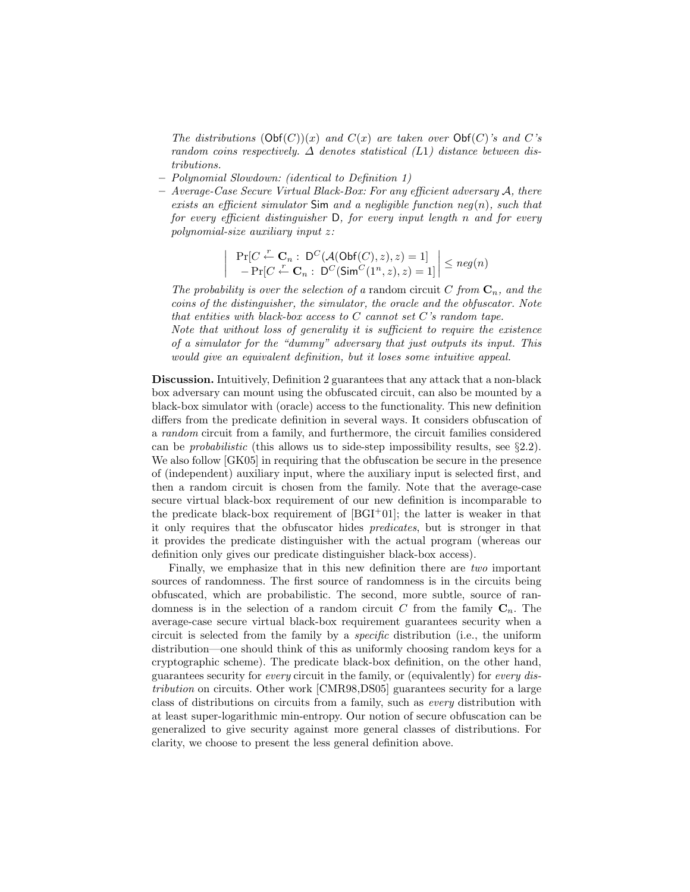The distributions  $(\mathsf{Obf}(C))(x)$  and  $C(x)$  are taken over  $\mathsf{Obf}(C)'$ 's and C's random coins respectively.  $\Delta$  denotes statistical (L1) distance between distributions.

– Polynomial Slowdown: (identical to Definition 1)

 $\overline{\phantom{a}}$  $\overline{\phantom{a}}$  $\overline{\phantom{a}}$  $\overline{\phantom{a}}$ 

– Average-Case Secure Virtual Black-Box: For any efficient adversary A, there exists an efficient simulator  $\mathsf{Sim}$  and a negligible function neg(n), such that for every efficient distinguisher D, for every input length n and for every polynomial-size auxiliary input z:

$$
\left| \Pr[C \stackrel{r}{\leftarrow} \mathbf{C}_n : \mathsf{D}^C(\mathcal{A}(\mathsf{Obf}(C), z), z) = 1] - \Pr[C \stackrel{r}{\leftarrow} \mathbf{C}_n : \mathsf{D}^C(\mathsf{Sim}^C(1^n, z), z) = 1] \right| \leq neg(n)
$$

The probability is over the selection of a random circuit C from  $C_n$ , and the coins of the distinguisher, the simulator, the oracle and the obfuscator. Note that entities with black-box access to  $C$  cannot set  $C$ 's random tape.

Note that without loss of generality it is sufficient to require the existence of a simulator for the "dummy" adversary that just outputs its input. This would give an equivalent definition, but it loses some intuitive appeal.

Discussion. Intuitively, Definition 2 guarantees that any attack that a non-black box adversary can mount using the obfuscated circuit, can also be mounted by a black-box simulator with (oracle) access to the functionality. This new definition differs from the predicate definition in several ways. It considers obfuscation of a random circuit from a family, and furthermore, the circuit families considered can be probabilistic (this allows us to side-step impossibility results, see §2.2). We also follow [GK05] in requiring that the obfuscation be secure in the presence of (independent) auxiliary input, where the auxiliary input is selected first, and then a random circuit is chosen from the family. Note that the average-case secure virtual black-box requirement of our new definition is incomparable to the predicate black-box requirement of  $[BGI^+01]$ ; the latter is weaker in that it only requires that the obfuscator hides predicates, but is stronger in that it provides the predicate distinguisher with the actual program (whereas our definition only gives our predicate distinguisher black-box access).

Finally, we emphasize that in this new definition there are two important sources of randomness. The first source of randomness is in the circuits being obfuscated, which are probabilistic. The second, more subtle, source of randomness is in the selection of a random circuit C from the family  $C_n$ . The average-case secure virtual black-box requirement guarantees security when a circuit is selected from the family by a specific distribution (i.e., the uniform distribution—one should think of this as uniformly choosing random keys for a cryptographic scheme). The predicate black-box definition, on the other hand, guarantees security for every circuit in the family, or (equivalently) for every distribution on circuits. Other work [CMR98,DS05] guarantees security for a large class of distributions on circuits from a family, such as every distribution with at least super-logarithmic min-entropy. Our notion of secure obfuscation can be generalized to give security against more general classes of distributions. For clarity, we choose to present the less general definition above.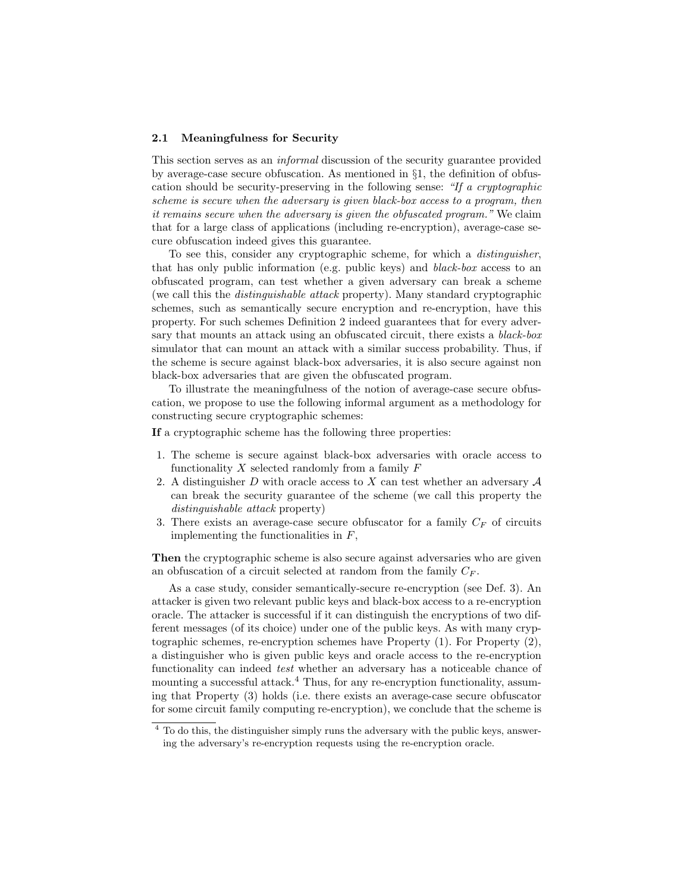#### 2.1 Meaningfulness for Security

This section serves as an informal discussion of the security guarantee provided by average-case secure obfuscation. As mentioned in §1, the definition of obfuscation should be security-preserving in the following sense: "If a cryptographic scheme is secure when the adversary is given black-box access to a program, then it remains secure when the adversary is given the obfuscated program." We claim that for a large class of applications (including re-encryption), average-case secure obfuscation indeed gives this guarantee.

To see this, consider any cryptographic scheme, for which a distinguisher, that has only public information (e.g. public keys) and black-box access to an obfuscated program, can test whether a given adversary can break a scheme (we call this the distinguishable attack property). Many standard cryptographic schemes, such as semantically secure encryption and re-encryption, have this property. For such schemes Definition 2 indeed guarantees that for every adversary that mounts an attack using an obfuscated circuit, there exists a black-box simulator that can mount an attack with a similar success probability. Thus, if the scheme is secure against black-box adversaries, it is also secure against non black-box adversaries that are given the obfuscated program.

To illustrate the meaningfulness of the notion of average-case secure obfuscation, we propose to use the following informal argument as a methodology for constructing secure cryptographic schemes:

If a cryptographic scheme has the following three properties:

- 1. The scheme is secure against black-box adversaries with oracle access to functionality X selected randomly from a family  $F$
- 2. A distinguisher D with oracle access to X can test whether an adversary  $\mathcal A$ can break the security guarantee of the scheme (we call this property the distinguishable attack property)
- 3. There exists an average-case secure obfuscator for a family  $C_F$  of circuits implementing the functionalities in  $F$ ,

Then the cryptographic scheme is also secure against adversaries who are given an obfuscation of a circuit selected at random from the family  $C_F$ .

As a case study, consider semantically-secure re-encryption (see Def. 3). An attacker is given two relevant public keys and black-box access to a re-encryption oracle. The attacker is successful if it can distinguish the encryptions of two different messages (of its choice) under one of the public keys. As with many cryptographic schemes, re-encryption schemes have Property (1). For Property (2), a distinguisher who is given public keys and oracle access to the re-encryption functionality can indeed test whether an adversary has a noticeable chance of mounting a successful attack.<sup>4</sup> Thus, for any re-encryption functionality, assuming that Property (3) holds (i.e. there exists an average-case secure obfuscator for some circuit family computing re-encryption), we conclude that the scheme is

<sup>4</sup> To do this, the distinguisher simply runs the adversary with the public keys, answering the adversary's re-encryption requests using the re-encryption oracle.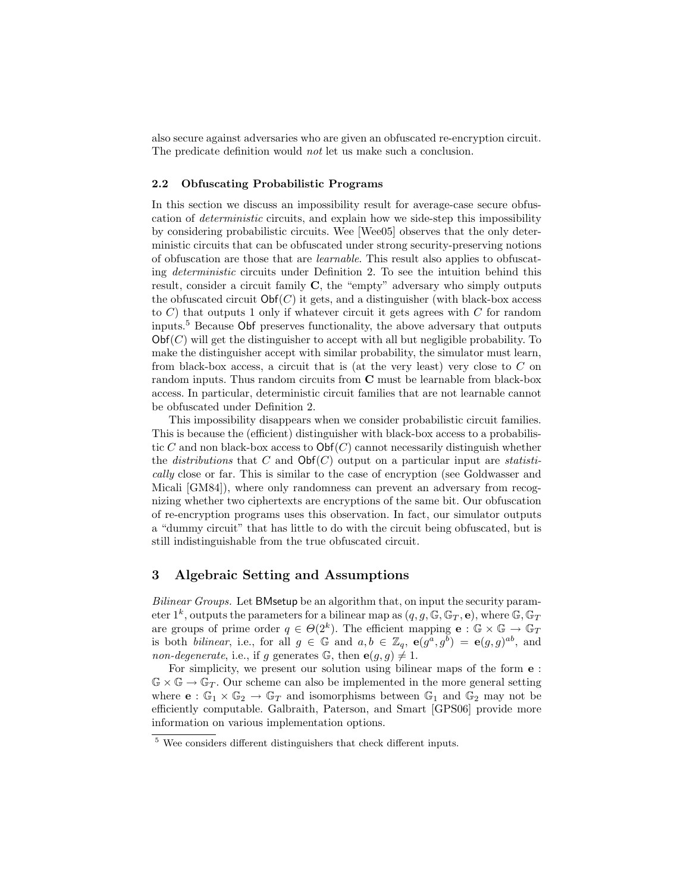also secure against adversaries who are given an obfuscated re-encryption circuit. The predicate definition would not let us make such a conclusion.

#### 2.2 Obfuscating Probabilistic Programs

In this section we discuss an impossibility result for average-case secure obfuscation of deterministic circuits, and explain how we side-step this impossibility by considering probabilistic circuits. Wee [Wee05] observes that the only deterministic circuits that can be obfuscated under strong security-preserving notions of obfuscation are those that are learnable. This result also applies to obfuscating deterministic circuits under Definition 2. To see the intuition behind this result, consider a circuit family C, the "empty" adversary who simply outputs the obfuscated circuit  $\mathsf{Obf}(C)$  it gets, and a distinguisher (with black-box access to  $C$ ) that outputs 1 only if whatever circuit it gets agrees with  $C$  for random inputs.<sup>5</sup> Because Obf preserves functionality, the above adversary that outputs  $\mathsf{Obf}(C)$  will get the distinguisher to accept with all but negligible probability. To make the distinguisher accept with similar probability, the simulator must learn, from black-box access, a circuit that is (at the very least) very close to  $C$  on random inputs. Thus random circuits from C must be learnable from black-box access. In particular, deterministic circuit families that are not learnable cannot be obfuscated under Definition 2.

This impossibility disappears when we consider probabilistic circuit families. This is because the (efficient) distinguisher with black-box access to a probabilistic C and non black-box access to  $Obf(C)$  cannot necessarily distinguish whether the distributions that C and  $\mathrm{Obf}(C)$  output on a particular input are statistically close or far. This is similar to the case of encryption (see Goldwasser and Micali [GM84]), where only randomness can prevent an adversary from recognizing whether two ciphertexts are encryptions of the same bit. Our obfuscation of re-encryption programs uses this observation. In fact, our simulator outputs a "dummy circuit" that has little to do with the circuit being obfuscated, but is still indistinguishable from the true obfuscated circuit.

# 3 Algebraic Setting and Assumptions

Bilinear Groups. Let BMsetup be an algorithm that, on input the security parameter 1<sup>k</sup>, outputs the parameters for a bilinear map as  $(q, g, \mathbb{G}, \mathbb{G}_T, \mathbf{e})$ , where  $\mathbb{G}, \mathbb{G}_T$ are groups of prime order  $q \in \Theta(2^k)$ . The efficient mapping  $e : \mathbb{G} \times \mathbb{G} \to \mathbb{G}_T$ is both *bilinear*, i.e., for all  $g \in \mathbb{G}$  and  $a, b \in \mathbb{Z}_q$ ,  $e(g^a, g^b) = e(g, g)^{ab}$ , and *non-degenerate*, i.e., if g generates  $\mathbb{G}$ , then  $e(g, g) \neq 1$ .

For simplicity, we present our solution using bilinear maps of the form e :  $\mathbb{G} \times \mathbb{G} \to \mathbb{G}_T$ . Our scheme can also be implemented in the more general setting where  $\mathbf{e} : \mathbb{G}_1 \times \mathbb{G}_2 \to \mathbb{G}_T$  and isomorphisms between  $\mathbb{G}_1$  and  $\mathbb{G}_2$  may not be efficiently computable. Galbraith, Paterson, and Smart [GPS06] provide more information on various implementation options.

<sup>5</sup> Wee considers different distinguishers that check different inputs.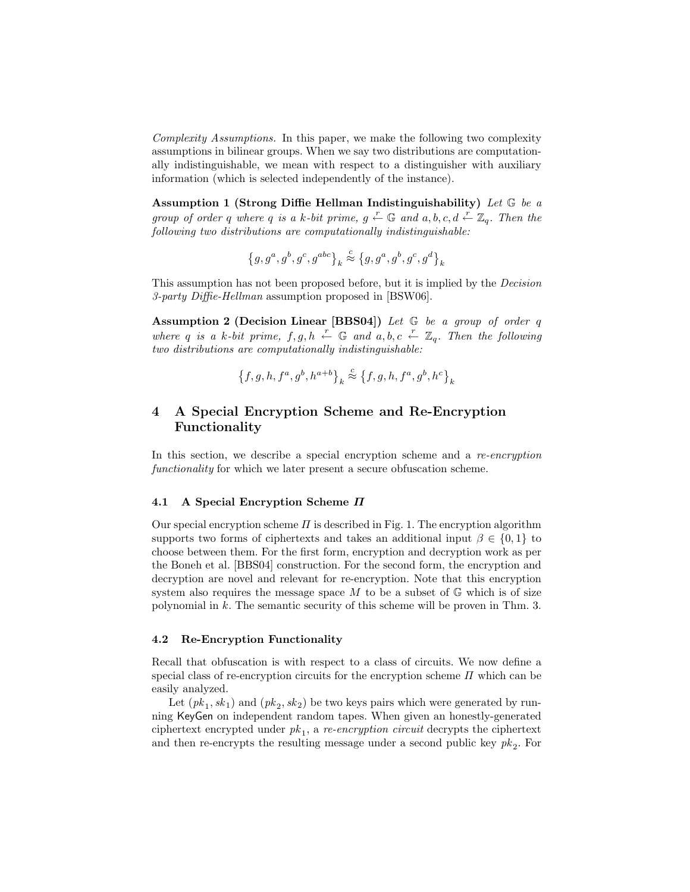Complexity Assumptions. In this paper, we make the following two complexity assumptions in bilinear groups. When we say two distributions are computationally indistinguishable, we mean with respect to a distinguisher with auxiliary information (which is selected independently of the instance).

Assumption 1 (Strong Diffie Hellman Indistinguishability) Let  $G$  be a group of order q where q is a k-bit prime,  $g \stackrel{r}{\leftarrow} \mathbb{G}$  and  $a, b, c, d \stackrel{r}{\leftarrow} \mathbb{Z}_q$ . Then the following two distributions are computationally indistinguishable:

$$
\left\{g,g^{a},g^{b},g^{c},g^{abc}\right\}_k \stackrel{c}{\approx} \left\{g,g^{a},g^{b},g^{c},g^{d}\right\}_k
$$

This assumption has not been proposed before, but it is implied by the Decision 3-party Diffie-Hellman assumption proposed in [BSW06].

Assumption 2 (Decision Linear [BBS04]) Let G be a group of order q where q is a k-bit prime,  $f, g, h \leftarrow \mathbb{G}$  and  $a, b, c \leftarrow \mathbb{Z}_q$ . Then the following two distributions are computationally indistinguishable:

$$
\left\lbrace f,g,h,f^a,g^b,h^{a+b}\right\rbrace_k \stackrel{c}{\approx} \left\lbrace f,g,h,f^a,g^b,h^c\right\rbrace_k
$$

# 4 A Special Encryption Scheme and Re-Encryption Functionality

In this section, we describe a special encryption scheme and a re-encryption functionality for which we later present a secure obfuscation scheme.

#### 4.1 A Special Encryption Scheme Π

Our special encryption scheme  $\Pi$  is described in Fig. 1. The encryption algorithm supports two forms of ciphertexts and takes an additional input  $\beta \in \{0,1\}$  to choose between them. For the first form, encryption and decryption work as per the Boneh et al. [BBS04] construction. For the second form, the encryption and decryption are novel and relevant for re-encryption. Note that this encryption system also requires the message space M to be a subset of  $\mathbb{G}$  which is of size polynomial in k. The semantic security of this scheme will be proven in Thm. 3.

#### 4.2 Re-Encryption Functionality

Recall that obfuscation is with respect to a class of circuits. We now define a special class of re-encryption circuits for the encryption scheme  $\Pi$  which can be easily analyzed.

Let  $(pk_1, sk_1)$  and  $(pk_2, sk_2)$  be two keys pairs which were generated by running KeyGen on independent random tapes. When given an honestly-generated ciphertext encrypted under  $pk_1$ , a re-encryption circuit decrypts the ciphertext and then re-encrypts the resulting message under a second public key  $pk<sub>2</sub>$ . For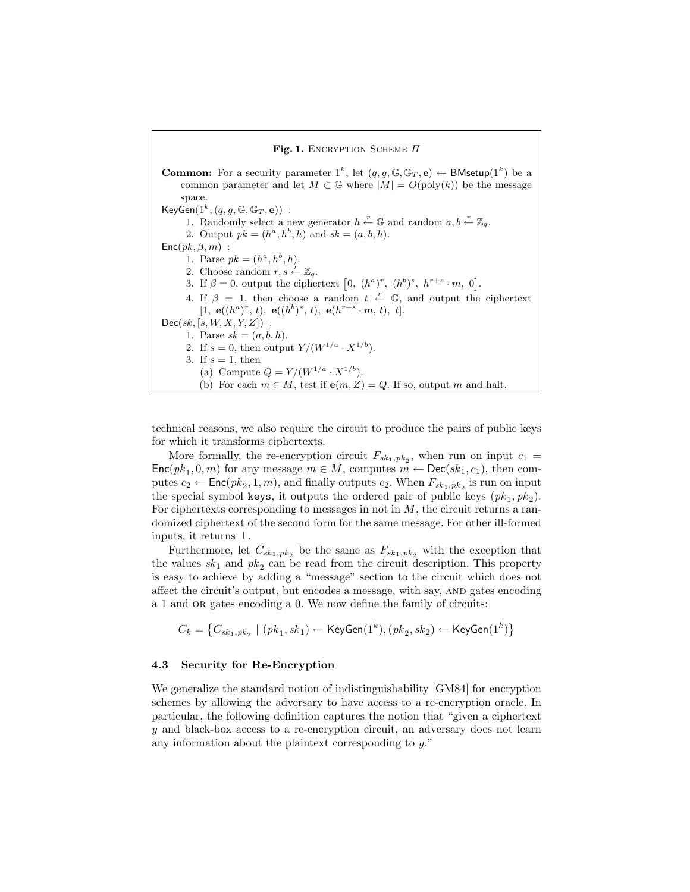#### Fig. 1. ENCRYPTION SCHEME  $\Pi$

**Common:** For a security parameter  $1^k$ , let  $(q, g, \mathbb{G}, \mathbb{G}_T, \mathbf{e}) \leftarrow \mathsf{BMsetup}(1^k)$  be a common parameter and let  $M \subset \mathbb{G}$  where  $|M| = O(poly(k))$  be the message space.  $\mathsf{KeyGen}(1^k, (q, g, \mathbb{G}, \mathbb{G}_T, \mathbf{e}))$ : 1. Randomly select a new generator  $h \stackrel{r}{\leftarrow} \mathbb{G}$  and random  $a, b \stackrel{r}{\leftarrow} \mathbb{Z}_q$ . 2. Output  $pk = (h^a, h^b, h)$  and  $sk = (a, b, h)$ .  $\mathsf{Enc}(pk, \beta, m)$  : 1. Parse  $pk = (h^a, h^b, h)$ . 2. Choose random  $r, s \stackrel{r}{\leftarrow} \mathbb{Z}_q$ . 3. If  $\beta = 0$ , output the ciphertext  $[0, (h^a)^r, (h^b)^s, h^{r+s} \cdot m, 0]$ . 4. If  $\beta = 1$ , then choose a random  $t \stackrel{r}{\leftarrow} \mathbb{G}$ , and output the ciphertext [1,  $e((h^a)^r, t)$ ,  $e((h^b)^s, t)$ ,  $e(h^{r+s} \cdot m, t)$ , t].  $Dec(sk, [s, W, X, Y, Z])$ : 1. Parse  $sk = (a, b, h)$ . 2. If  $s = 0$ , then output  $Y/(W^{1/a} \cdot X^{1/b})$ . 3. If  $s = 1$ , then (a) Compute  $Q = Y/(W^{1/a} \cdot X^{1/b}).$ (b) For each  $m \in M$ , test if  $e(m, Z) = Q$ . If so, output m and halt.

technical reasons, we also require the circuit to produce the pairs of public keys for which it transforms ciphertexts.

More formally, the re-encryption circuit  $F_{sk_1,pk_2}$ , when run on input  $c_1 =$  $\mathsf{Enc}(pk_1, 0, m)$  for any message  $m \in M$ , computes  $m \leftarrow \mathsf{Dec}(sk_1, c_1)$ , then computes  $c_2 \leftarrow \mathsf{Enc}(pk_2, 1, m)$ , and finally outputs  $c_2$ . When  $F_{sk_1, pk_2}$  is run on input the special symbol keys, it outputs the ordered pair of public keys  $(pk_1, pk_2)$ . For ciphertexts corresponding to messages in not in  $M$ , the circuit returns a randomized ciphertext of the second form for the same message. For other ill-formed inputs, it returns ⊥.

Furthermore, let  $C_{sk_1,pk_2}$  be the same as  $F_{sk_1,pk_2}$  with the exception that the values  $sk_1$  and  $pk_2$  can be read from the circuit description. This property is easy to achieve by adding a "message" section to the circuit which does not affect the circuit's output, but encodes a message, with say, and gates encoding a 1 and OR gates encoding a 0. We now define the family of circuits:

$$
C_k = \left\{C_{sk_1,pk_2} \mid (pk_1, sk_1) \leftarrow \mathsf{KeyGen}(1^k), (pk_2, sk_2) \leftarrow \mathsf{KeyGen}(1^k)\right\}
$$

#### 4.3 Security for Re-Encryption

We generalize the standard notion of indistinguishability [GM84] for encryption schemes by allowing the adversary to have access to a re-encryption oracle. In particular, the following definition captures the notion that "given a ciphertext y and black-box access to a re-encryption circuit, an adversary does not learn any information about the plaintext corresponding to  $y$ ."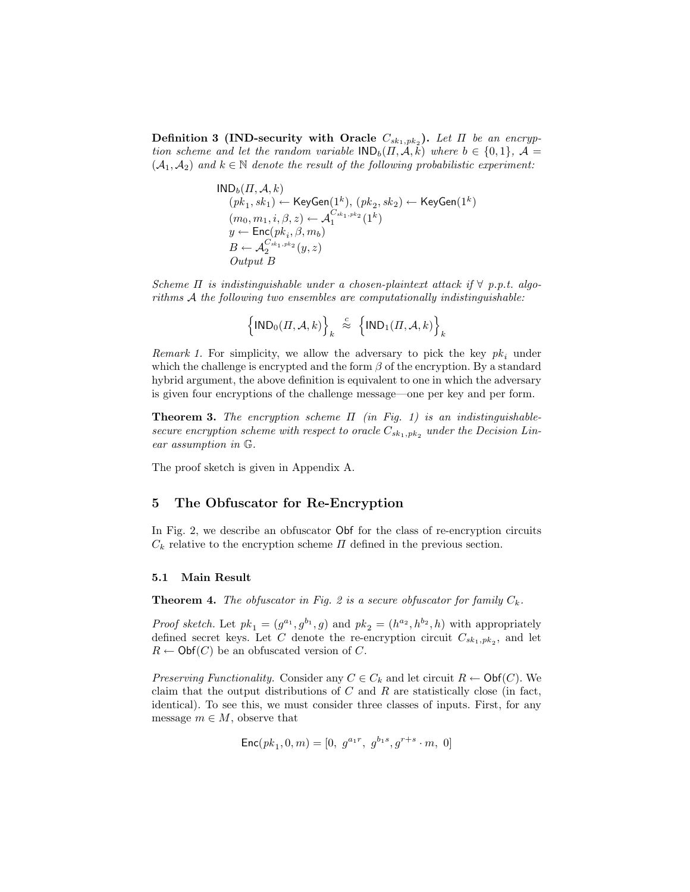Definition 3 (IND-security with Oracle  $C_{sk_1,pk_2}$ ). Let  $\Pi$  be an encryption scheme and let the random variable  $\mathsf{IND}_b(\Pi, \mathcal{A}, k)$  where  $b \in \{0, 1\}, \mathcal{A} =$  $(A_1, A_2)$  and  $k \in \mathbb{N}$  denote the result of the following probabilistic experiment:

$$
\begin{aligned} &\text{IND}_b(H,\mathcal{A},k)\\ &(pk_1,sk_1)\leftarrow\text{KeyGen}(1^k),(pk_2,sk_2)\leftarrow\text{KeyGen}(1^k)\\ &(m_0,m_1,i,\beta,z)\leftarrow\mathcal{A}_1^{C_{sk_1,pk_2}}(1^k)\\ &y\leftarrow\text{Enc}(pk_i,\beta,m_b)\\ &B\leftarrow\mathcal{A}_2^{C_{sk_1,pk_2}}(y,z)\\ &\text{Output }B \end{aligned}
$$

Scheme  $\Pi$  is indistinguishable under a chosen-plaintext attack if  $\forall$  p.p.t. algorithms A the following two ensembles are computationally indistinguishable:

$$
\left\{\mathsf{IND}_0(\Pi,\mathcal{A},k)\right\}_k \stackrel{c}{\approx} \left\{\mathsf{IND}_1(\Pi,\mathcal{A},k)\right\}_k
$$

Remark 1. For simplicity, we allow the adversary to pick the key  $pk_i$  under which the challenge is encrypted and the form  $\beta$  of the encryption. By a standard hybrid argument, the above definition is equivalent to one in which the adversary is given four encryptions of the challenge message—one per key and per form.

**Theorem 3.** The encryption scheme  $\Pi$  (in Fig. 1) is an indistinguishablesecure encryption scheme with respect to oracle  $C_{sk_1,pk_2}$  under the Decision Linear assumption in G.

The proof sketch is given in Appendix A.

### 5 The Obfuscator for Re-Encryption

In Fig. 2, we describe an obfuscator Obf for the class of re-encryption circuits  $C_k$  relative to the encryption scheme  $\Pi$  defined in the previous section.

#### 5.1 Main Result

**Theorem 4.** The obfuscator in Fig. 2 is a secure obfuscator for family  $C_k$ .

*Proof sketch.* Let  $pk_1 = (g^{a_1}, g^{b_1}, g)$  and  $pk_2 = (h^{a_2}, h^{b_2}, h)$  with appropriately defined secret keys. Let C denote the re-encryption circuit  $C_{sk_1,pk_2}$ , and let  $R \leftarrow \mathsf{Obf}(C)$  be an obfuscated version of C.

Preserving Functionality. Consider any  $C \in C_k$  and let circuit  $R \leftarrow \mathsf{Obf}(C)$ . We claim that the output distributions of  $C$  and  $R$  are statistically close (in fact, identical). To see this, we must consider three classes of inputs. First, for any message  $m \in M$ , observe that

$$
\text{Enc}(pk_1, 0, m) = [0, g^{a_1r}, g^{b_1s}, g^{r+s} \cdot m, 0]
$$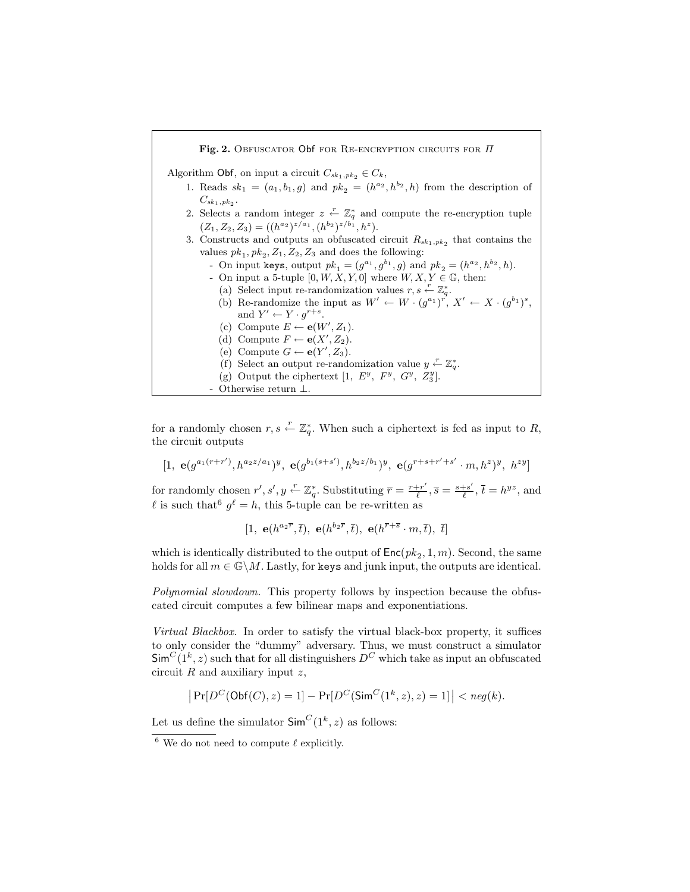# Fig. 2. Obfuscator Obf for Re-encryption circuits for  $\Pi$ Algorithm Obf, on input a circuit  $C_{sk_1,pk_2} \in C_k$ , 1. Reads  $sk_1 = (a_1, b_1, g)$  and  $pk_2 = (h^{a_2}, h^{b_2}, h)$  from the description of  $C_{sk_1,pk_2}$ . 2. Selects a random integer  $z \stackrel{r}{\leftarrow} \mathbb{Z}_q^*$  and compute the re-encryption tuple  $(Z_1, Z_2, Z_3) = ((h^{a_2})^{z/a_1}, (h^{b_2})^{z/b_1}, h^z).$ 3. Constructs and outputs an obfuscated circuit  $R_{sk_1,pk_2}$  that contains the values  $pk_1$ ,  $pk_2$ ,  $Z_1$ ,  $Z_2$ ,  $Z_3$  and does the following: - On input keys, output  $pk_1 = (g^{a_1}, g^{b_1}, g)$  and  $pk_2 = (h^{a_2}, h^{b_2}, h)$ . - On input a 5-tuple  $[0, W, X, Y, 0]$  where  $W, X, Y \in \mathbb{G},$  then: (a) Select input re-randomization values  $r, s \stackrel{r}{\leftarrow} \mathbb{Z}_q^*$ . (b) Re-randomize the input as  $W' \leftarrow W \cdot (g^{a_1})^r$ ,  $X' \leftarrow X \cdot (g^{b_1})^s$ , and  $Y' \leftarrow Y \cdot g^{r+s}$ . (c) Compute  $E \leftarrow \mathbf{e}(W', Z_1)$ . (d) Compute  $F \leftarrow \mathbf{e}(X', Z_2)$ . (e) Compute  $G \leftarrow \mathbf{e}(Y', Z_3)$ . (f) Select an output re-randomization value  $y \stackrel{r}{\leftarrow} \mathbb{Z}_q^*$ . (g) Output the ciphertext [1,  $E^y$ ,  $F^y$ ,  $G^y$ ,  $Z_3^y$ ]. - Otherwise return ⊥.

for a randomly chosen  $r, s \stackrel{r}{\leftarrow} \mathbb{Z}_q^*$ . When such a ciphertext is fed as input to R, the circuit outputs

$$
[1, e(g^{a_1(r+r')}, h^{a_2z/a_1})^y, e(g^{b_1(s+s')}, h^{b_2z/b_1})^y, e(g^{r+s+r'+s'}\cdot m, h^z)^y, h^{zy}]
$$

for randomly chosen  $r', s', y \stackrel{r}{\leftarrow} \mathbb{Z}_q^*$ . Substituting  $\overline{r} = \frac{r+r'}{\ell}$  $\frac{(-r')}{\ell}, \overline{s} = \frac{s+s'}{\ell}$  $\frac{+s'}{\ell}, \bar{t} = h^{yz}$ , and  $\ell$  is such that  $g^{\ell} = h$ , this 5-tuple can be re-written as

$$
[1, e(h^{a_2\overline{r}}, \overline{t}), e(h^{b_2\overline{r}}, \overline{t}), e(h^{\overline{r}+\overline{s}} \cdot m, \overline{t}), \ \overline{t}]
$$

which is identically distributed to the output of  $\mathsf{Enc}(pk_2, 1, m)$ . Second, the same holds for all  $m \in \mathbb{G} \backslash M$ . Lastly, for keys and junk input, the outputs are identical.

Polynomial slowdown. This property follows by inspection because the obfuscated circuit computes a few bilinear maps and exponentiations.

Virtual Blackbox. In order to satisfy the virtual black-box property, it suffices to only consider the "dummy" adversary. Thus, we must construct a simulator  $\textsf{Sim}^C(1^k, z)$  such that for all distinguishers  $D^C$  which take as input an obfuscated circuit  $R$  and auxiliary input  $z$ ,

$$
|\Pr[D^C(\text{Obf}(C), z) = 1] - \Pr[D^C(\text{Sim}^C(1^k, z), z) = 1]| < neg(k).
$$

Let us define the simulator  $\mathsf{Sim}^C(1^k, z)$  as follows:

 $\sqrt[6]{\frac{6}{10}}$  We do not need to compute  $\ell$  explicitly.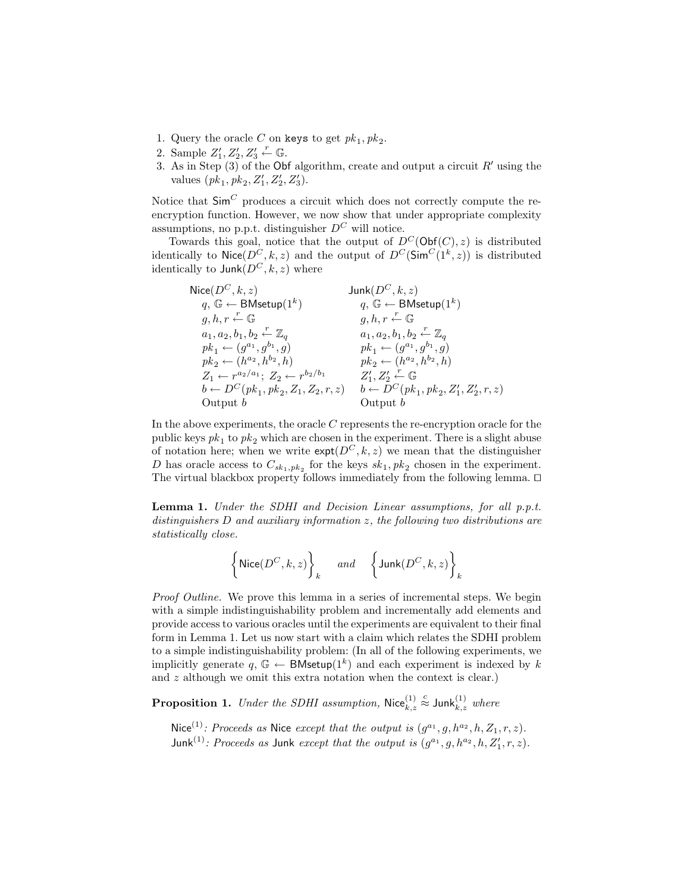- 1. Query the oracle C on keys to get  $pk_1, pk_2$ .
- 2. Sample  $Z'_1, Z'_2, Z'_3 \stackrel{r}{\leftarrow} \mathbb{G}$ .
- 3. As in Step (3) of the Obf algorithm, create and output a circuit  $R'$  using the values  $(pk_1, pk_2, Z'_1, Z'_2, Z'_3).$

Notice that  $Sim^C$  produces a circuit which does not correctly compute the reencryption function. However, we now show that under appropriate complexity assumptions, no p.p.t. distinguisher  $D^C$  will notice.

Towards this goal, notice that the output of  $D^{C}(\mathsf{Obf}(C), z)$  is distributed identically to Nice $(D^C, k, z)$  and the output of  $D^C(\textsf{Sim}^C(1^k, z))$  is distributed identically to  $\text{Junk}(D^C, k, z)$  where

> $\mathsf{Nice}(D^C, k, z)$  Junk $(D^C, k, z)$  $q$ ,  $\mathbb{G} \leftarrow \mathsf{BMsetup}(1^k)$  and  $q$ ,  $\mathbb{G} \leftarrow \mathsf{BMsetup}(1^k)$  $g, h, r \stackrel{r}{\leftarrow} \mathbb{G}$  g,  $h, r \stackrel{r}{\leftarrow} \mathbb{G}$  $a_1, a_2, b_1, b_2 \stackrel{r}{\leftarrow} \mathbb{Z}_q$   $a_1, a_2, b_1, b_2 \stackrel{r}{\leftarrow} \mathbb{Z}_q$  $pk_1 \leftarrow (g^{a_1}, g^{b_1}, g)$   $pk_1 \leftarrow (g^{a_1}, g^{b_1}, g)$  $pk_2 \leftarrow (h^{a_2}, h^{b_2}, h)$   $pk_2 \leftarrow (h^{a_2}, h^{b_2}, h)$  $Z_1 \leftarrow r^{a_2/a_1}; Z_2 \leftarrow r^{b_2/b_1} \qquad Z_1', Z_2' \leftarrow \mathbb{G}$  $b \leftarrow D^{C}(pk_1, pk_2, Z_1, Z_2, r, z)$   $b \leftarrow D^{C}(pk_1, pk_2, Z'_1, Z'_2, r, z)$ Output *b* Output *b*

In the above experiments, the oracle  $C$  represents the re-encryption oracle for the public keys  $pk_1$  to  $pk_2$  which are chosen in the experiment. There is a slight abuse of notation here; when we write  $exp(D^C, k, z)$  we mean that the distinguisher D has oracle access to  $C_{sk_1,pk_2}$  for the keys  $sk_1, pk_2$  chosen in the experiment. The virtual blackbox property follows immediately from the following lemma.  $\Box$ 

Lemma 1. Under the SDHI and Decision Linear assumptions, for all p.p.t. distinguishers D and auxiliary information z, the following two distributions are statistically close.

$$
\bigg\{{\sf Nice}(D^C,k,z)\bigg\}_k \quad \text{ and } \quad \bigg\{{\sf Junk}(D^C,k,z)\bigg\}_k
$$

Proof Outline. We prove this lemma in a series of incremental steps. We begin with a simple indistinguishability problem and incrementally add elements and provide access to various oracles until the experiments are equivalent to their final form in Lemma 1. Let us now start with a claim which relates the SDHI problem to a simple indistinguishability problem: (In all of the following experiments, we implicitly generate  $q$ ,  $\mathbb{G} \leftarrow \mathsf{BMsetup}(1^k)$  and each experiment is indexed by k and z although we omit this extra notation when the context is clear.)

**Proposition 1.** Under the SDHI assumption,  $Nice_{k,z}^{(1)}$  $\stackrel{c}{\approx}$  Junk $_{k,z}^{(1)}$  where

Nice<sup>(1)</sup>: Proceeds as Nice except that the output is  $(g^{a_1}, g, h^{a_2}, h, Z_1, r, z)$ .  $\mathsf{Junk}^{(1)} \colon Proceedings$  as  $\mathsf{Junk}$  except that the output is  $(g^{a_1},g,h^{a_2},h,Z'_1,r,z)$ .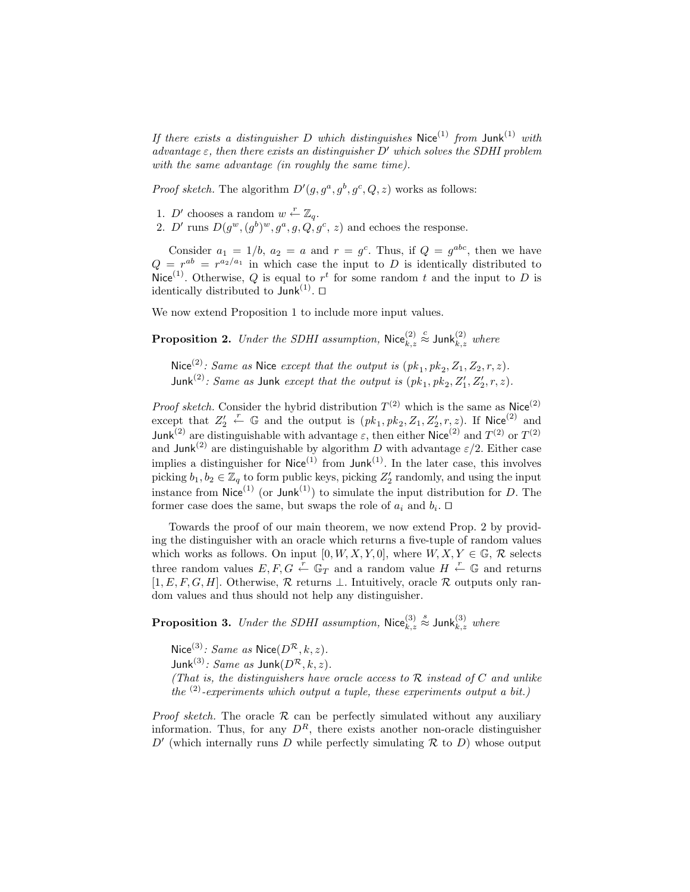If there exists a distinguisher D which distinguishes  $Nice^{(1)}$  from Junk<sup>(1)</sup> with advantage  $\varepsilon$ , then there exists an distinguisher D' which solves the SDHI problem with the same advantage (in roughly the same time).

*Proof sketch*. The algorithm  $D'(g, g^a, g^b, g^c, Q, z)$  works as follows:

- 1. D' chooses a random  $w \stackrel{r}{\leftarrow} \mathbb{Z}_q$ .
- 2. D' runs  $D(g^w, (g^b)^w, g^a, g, Q, g^c, z)$  and echoes the response.

Consider  $a_1 = 1/b$ ,  $a_2 = a$  and  $r = g^c$ . Thus, if  $Q = g^{abc}$ , then we have  $Q = r^{ab} = r^{a_2/a_1}$  in which case the input to D is identically distributed to Nice<sup>(1)</sup>. Otherwise, Q is equal to  $r^t$  for some random t and the input to D is identically distributed to Junk $^{(1)}$ .  $\Box$ 

We now extend Proposition 1 to include more input values.

**Proposition 2.** Under the SDHI assumption,  $\text{Nice}_{k,z}^{(2)}$  $\stackrel{c}{\approx}$  Junk $_{k,z}^{(2)}$  where

Nice<sup>(2)</sup>: Same as Nice except that the output is  $(pk_1, pk_2, Z_1, Z_2, r, z)$ . Junk<sup>(2)</sup>: Same as Junk except that the output is  $(pk_1, pk_2, Z'_1, Z'_2, r, z)$ .

*Proof sketch.* Consider the hybrid distribution  $T^{(2)}$  which is the same as Nice<sup>(2)</sup> except that  $Z'_2 \stackrel{r}{\leftarrow} \mathbb{G}$  and the output is  $(pk_1, pk_2, Z_1, Z'_2, r, z)$ . If Nice<sup>(2)</sup> and Junk<sup>(2)</sup> are distinguishable with advantage  $\varepsilon$ , then either Nice<sup>(2)</sup> and  $T^{(2)}$  or  $T^{(2)}$ and Junk<sup>(2)</sup> are distinguishable by algorithm D with advantage  $\varepsilon/2$ . Either case implies a distinguisher for  $Nice^{(1)}$  from Junk<sup>(1)</sup>. In the later case, this involves picking  $b_1, b_2 \in \mathbb{Z}_q$  to form public keys, picking  $Z'_2$  randomly, and using the input instance from Nice<sup>(1)</sup> (or Junk<sup>(1)</sup>) to simulate the input distribution for D. The former case does the same, but swaps the role of  $a_i$  and  $b_i$ .  $\Box$ 

Towards the proof of our main theorem, we now extend Prop. 2 by providing the distinguisher with an oracle which returns a five-tuple of random values which works as follows. On input  $[0, W, X, Y, 0]$ , where  $W, X, Y \in \mathbb{G}$ , R selects three random values  $E, F, G \leftarrow \mathbb{G}_T$  and a random value  $H \leftarrow \mathbb{G}$  and returns  $[1, E, F, G, H]$ . Otherwise, R returns  $\perp$ . Intuitively, oracle R outputs only random values and thus should not help any distinguisher.

**Proposition 3.** Under the SDHI assumption, Nice $_{k,z}^{(3)}$  $\stackrel{s}{\approx}$  Junk $_{k,z}^{(3)}$  where

Nice<sup>(3)</sup>: Same as Nice( $D^R, k, z$ ).

Junk<sup>(3)</sup>: Same as Junk $(D^{\mathcal{R}}, k, z)$ .

(That is, the distinguishers have oracle access to  $R$  instead of  $C$  and unlike the  $(2)$ -experiments which output a tuple, these experiments output a bit.)

*Proof sketch.* The oracle  $\mathcal{R}$  can be perfectly simulated without any auxiliary information. Thus, for any  $D^R$ , there exists another non-oracle distinguisher  $D'$  (which internally runs D while perfectly simulating R to D) whose output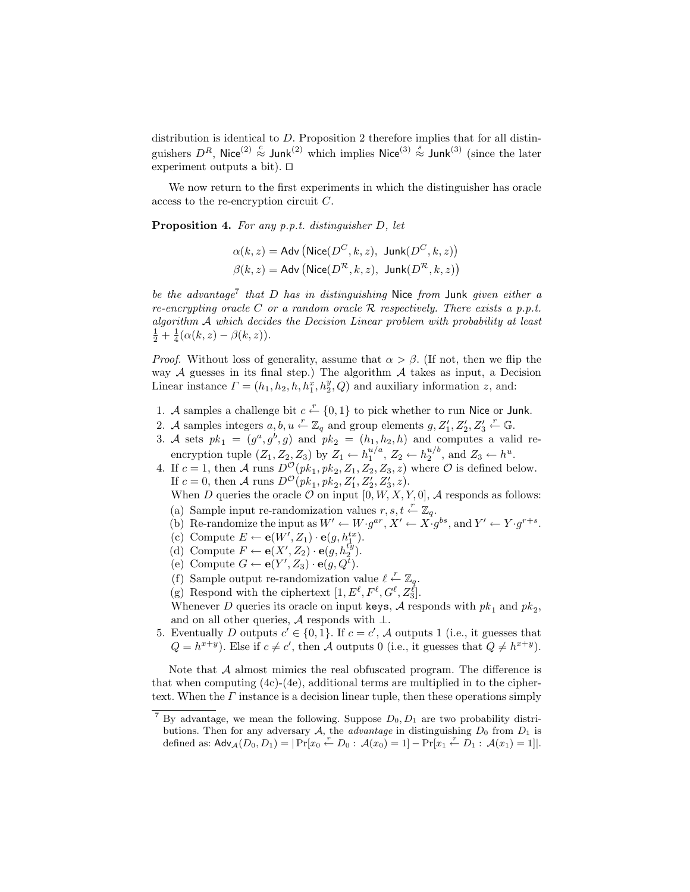distribution is identical to D. Proposition 2 therefore implies that for all distinguishers  $D^R$ , Nice<sup>(2)</sup>  $\stackrel{c}{\approx}$  Junk<sup>(2)</sup> which implies Nice<sup>(3)</sup>  $\stackrel{s}{\approx}$  Junk<sup>(3)</sup> (since the later experiment outputs a bit).  $\Box$ 

We now return to the first experiments in which the distinguisher has oracle access to the re-encryption circuit C.

Proposition 4. For any p.p.t. distinguisher D, let

$$
\alpha(k, z) = \text{Adv}(\text{Nice}(D^C, k, z), \text{ Junk}(D^C, k, z))
$$

$$
\beta(k, z) = \text{Adv}(\text{Nice}(D^R, k, z), \text{ Junk}(D^R, k, z))
$$

be the advantage<sup>7</sup> that  $D$  has in distinguishing Nice from Junk given either a re-encrypting oracle C or a random oracle R respectively. There exists a p.p.t. algorithm A which decides the Decision Linear problem with probability at least  $\frac{1}{2} + \frac{1}{4}(\alpha(k, z) - \beta(k, z)).$ 

*Proof.* Without loss of generality, assume that  $\alpha > \beta$ . (If not, then we flip the way  $A$  guesses in its final step.) The algorithm  $A$  takes as input, a Decision Linear instance  $\Gamma = (h_1, h_2, h, h_1^x, h_2^y, Q)$  and auxiliary information z, and:

- 1. A samples a challenge bit  $c \stackrel{r}{\leftarrow} \{0,1\}$  to pick whether to run Nice or Junk.
- 2. A samples integers  $a, b, u \stackrel{r}{\leftarrow} \mathbb{Z}_q$  and group elements  $g, Z'_1, Z'_2, Z'_3 \stackrel{r}{\leftarrow} \mathbb{G}$ .
- 3. A sets  $pk_1 = (g^a, g^b, g)$  and  $pk_2 = (h_1, h_2, h)$  and computes a valid reencryption tuple  $(Z_1, Z_2, Z_3)$  by  $Z_1 \leftarrow h_1^{u/a}, Z_2 \leftarrow h_2^{u/b},$  and  $Z_3 \leftarrow h^u$ .
- 4. If  $c = 1$ , then A runs  $D^{\mathcal{O}}(pk_1, pk_2, Z_1, Z_2, Z_3, z)$  where  $\mathcal{O}$  is defined below. If  $c = 0$ , then A runs  $D^{\mathcal{O}}(pk_1, pk_2, Z'_1, Z'_2, Z'_3, z)$ .

When D queries the oracle  $\mathcal O$  on input  $[0, W, X, Y, 0]$ , A responds as follows:

- (a) Sample input re-randomization values  $r, s, t \stackrel{r}{\leftarrow} \mathbb{Z}_q$ .
- (b) Re-randomize the input as  $W' \leftarrow W \cdot g^{ar}, X' \leftarrow X \cdot g^{bs}$ , and  $Y' \leftarrow Y \cdot g^{r+s}$ .
- (c) Compute  $E \leftarrow \mathbf{e}(W', Z_1) \cdot \mathbf{e}(g, h_1^{tx}).$
- (d) Compute  $F \leftarrow \mathbf{e}(X', Z_2) \cdot \mathbf{e}(g, h_2^{ty})$ .
- (e) Compute  $G \leftarrow \mathbf{e}(Y', Z_3) \cdot \mathbf{e}(g, Q^t)$ .
- (f) Sample output re-randomization value  $\ell \stackrel{r}{\leftarrow} \mathbb{Z}_q$ .
- (g) Respond with the ciphertext  $[1, E^{\ell}, F^{\ell}, G^{\ell}, Z_3^{\ell}].$

Whenever D queries its oracle on input keys,  $A$  responds with  $pk_1$  and  $pk_2$ , and on all other queries,  $A$  responds with  $\bot$ .

5. Eventually D outputs  $c' \in \{0,1\}$ . If  $c = c'$ , A outputs 1 (i.e., it guesses that  $Q = h^{x+y}$ . Else if  $c \neq c'$ , then A outputs 0 (i.e., it guesses that  $Q \neq h^{x+y}$ ).

Note that  $A$  almost mimics the real obfuscated program. The difference is that when computing  $(4c)-(4e)$ , additional terms are multiplied in to the ciphertext. When the  $\Gamma$  instance is a decision linear tuple, then these operations simply

<sup>&</sup>lt;sup>7</sup> By advantage, we mean the following. Suppose  $D_0, D_1$  are two probability distributions. Then for any adversary A, the *advantage* in distinguishing  $D_0$  from  $D_1$  is defined as:  $\mathsf{Adv}_{\mathcal{A}}(D_0, D_1) = |\Pr[x_0 \stackrel{r}{\leftarrow} D_0 : \mathcal{A}(x_0) = 1] - \Pr[x_1 \stackrel{r}{\leftarrow} D_1 : \mathcal{A}(x_1) = 1]|.$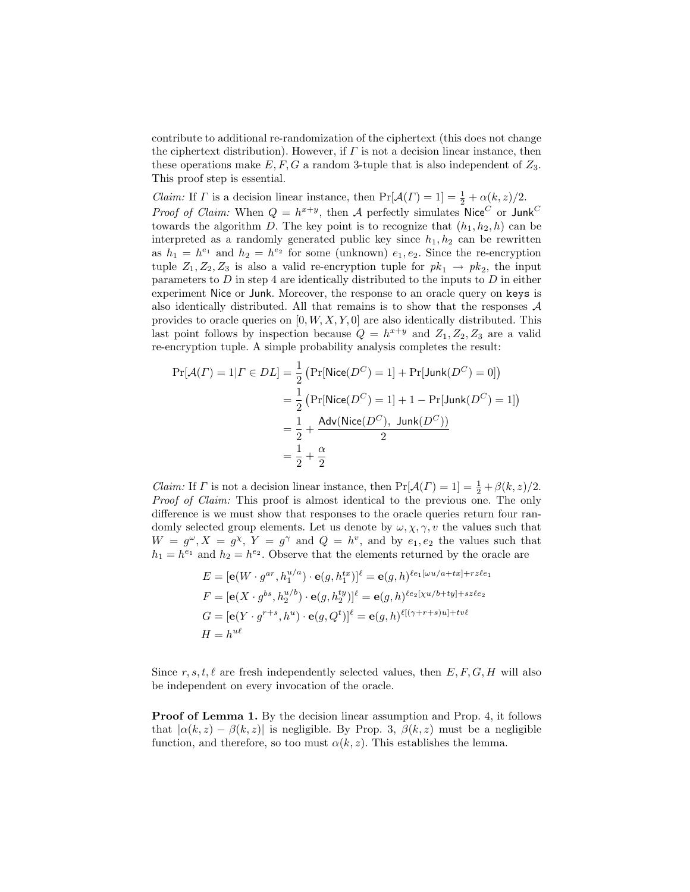contribute to additional re-randomization of the ciphertext (this does not change the ciphertext distribution). However, if  $\Gamma$  is not a decision linear instance, then these operations make  $E, F, G$  a random 3-tuple that is also independent of  $Z_3$ . This proof step is essential.

*Claim:* If  $\Gamma$  is a decision linear instance, then  $Pr[\mathcal{A}(\Gamma) = 1] = \frac{1}{2} + \alpha(k, z)/2$ . *Proof of Claim:* When  $Q = h^{x+y}$ , then A perfectly simulates Nice<sup>C</sup> or Junk<sup>C</sup> towards the algorithm D. The key point is to recognize that  $(h_1, h_2, h)$  can be interpreted as a randomly generated public key since  $h_1, h_2$  can be rewritten as  $h_1 = h^{e_1}$  and  $h_2 = h^{e_2}$  for some (unknown)  $e_1, e_2$ . Since the re-encryption tuple  $Z_1, Z_2, Z_3$  is also a valid re-encryption tuple for  $pk_1 \rightarrow pk_2$ , the input parameters to  $D$  in step 4 are identically distributed to the inputs to  $D$  in either experiment Nice or Junk. Moreover, the response to an oracle query on keys is also identically distributed. All that remains is to show that the responses  $\mathcal A$ provides to oracle queries on  $[0, W, X, Y, 0]$  are also identically distributed. This last point follows by inspection because  $Q = h^{x+y}$  and  $Z_1, Z_2, Z_3$  are a valid re-encryption tuple. A simple probability analysis completes the result:

$$
\Pr[\mathcal{A}(\Gamma) = 1 | \Gamma \in DL] = \frac{1}{2} \left( \Pr[\text{Nice}(D^C) = 1] + \Pr[\text{Junk}(D^C) = 0] \right)
$$

$$
= \frac{1}{2} \left( \Pr[\text{Nice}(D^C) = 1] + 1 - \Pr[\text{Junk}(D^C) = 1] \right)
$$

$$
= \frac{1}{2} + \frac{\text{Adv}(\text{Nice}(D^C), \text{ Junk}(D^C))}{2}
$$

$$
= \frac{1}{2} + \frac{\alpha}{2}
$$

*Claim:* If  $\Gamma$  is not a decision linear instance, then  $Pr[\mathcal{A}(\Gamma) = 1] = \frac{1}{2} + \beta(k, z)/2$ . Proof of Claim: This proof is almost identical to the previous one. The only difference is we must show that responses to the oracle queries return four randomly selected group elements. Let us denote by  $\omega, \chi, \gamma, v$  the values such that  $W = g^{\omega}, X = g^{\chi}, Y = g^{\gamma}$  and  $Q = h^{\nu}$ , and by  $e_1, e_2$  the values such that  $h_1 = h^{e_1}$  and  $h_2 = h^{e_2}$ . Observe that the elements returned by the oracle are

$$
E = [\mathbf{e}(W \cdot g^{ar}, h_1^{u/a}) \cdot \mathbf{e}(g, h_1^{tx})]^{\ell} = \mathbf{e}(g, h)^{\ell e_1 [\omega u/a + tx] + rz\ell e_1}
$$
  
\n
$$
F = [\mathbf{e}(X \cdot g^{bs}, h_2^{u/b}) \cdot \mathbf{e}(g, h_2^{ty})]^{\ell} = \mathbf{e}(g, h)^{\ell e_2 [xu/b + ty] + sz\ell e_2}
$$
  
\n
$$
G = [\mathbf{e}(Y \cdot g^{r+s}, h^u) \cdot \mathbf{e}(g, Q^t)]^{\ell} = \mathbf{e}(g, h)^{\ell [(\gamma + r+s)u] + tv\ell}
$$
  
\n
$$
H = h^{u\ell}
$$

Since r, s, t,  $\ell$  are fresh independently selected values, then E, F, G, H will also be independent on every invocation of the oracle.

Proof of Lemma 1. By the decision linear assumption and Prop. 4, it follows that  $|\alpha(k, z) - \beta(k, z)|$  is negligible. By Prop. 3,  $\beta(k, z)$  must be a negligible function, and therefore, so too must  $\alpha(k, z)$ . This establishes the lemma.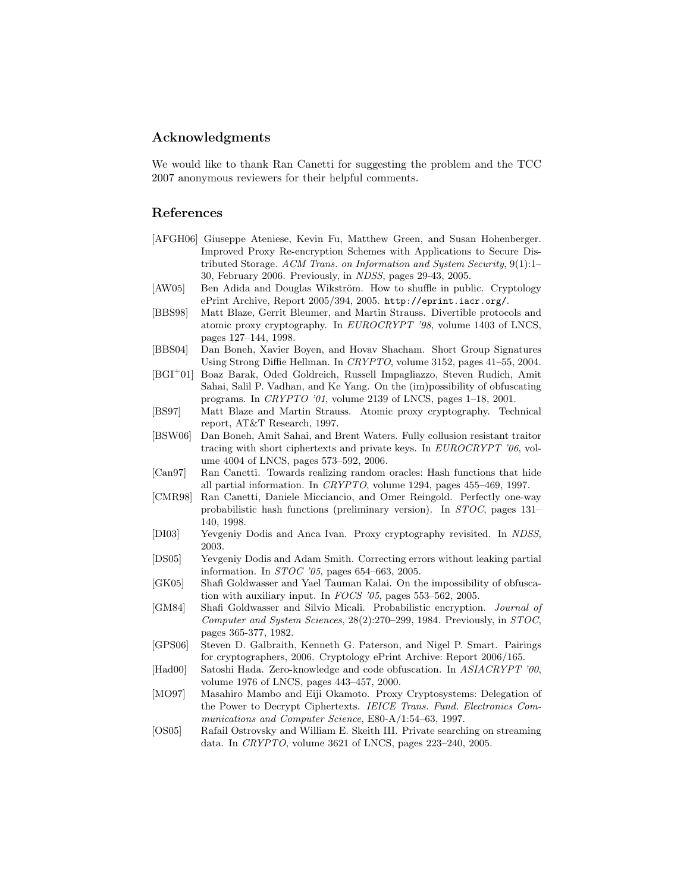# Acknowledgments

We would like to thank Ran Canetti for suggesting the problem and the TCC 2007 anonymous reviewers for their helpful comments.

### References

- [AFGH06] Giuseppe Ateniese, Kevin Fu, Matthew Green, and Susan Hohenberger. Improved Proxy Re-encryption Schemes with Applications to Secure Distributed Storage. ACM Trans. on Information and System Security, 9(1):1– 30, February 2006. Previously, in NDSS, pages 29-43, 2005.
- [AW05] Ben Adida and Douglas Wikström. How to shuffle in public. Cryptology ePrint Archive, Report 2005/394, 2005. http://eprint.iacr.org/.
- [BBS98] Matt Blaze, Gerrit Bleumer, and Martin Strauss. Divertible protocols and atomic proxy cryptography. In EUROCRYPT '98, volume 1403 of LNCS, pages 127–144, 1998.
- [BBS04] Dan Boneh, Xavier Boyen, and Hovav Shacham. Short Group Signatures Using Strong Diffie Hellman. In CRYPTO, volume 3152, pages 41–55, 2004.
- [BGI<sup>+</sup>01] Boaz Barak, Oded Goldreich, Russell Impagliazzo, Steven Rudich, Amit Sahai, Salil P. Vadhan, and Ke Yang. On the (im)possibility of obfuscating programs. In CRYPTO '01, volume 2139 of LNCS, pages 1–18, 2001.
- [BS97] Matt Blaze and Martin Strauss. Atomic proxy cryptography. Technical report, AT&T Research, 1997.
- [BSW06] Dan Boneh, Amit Sahai, and Brent Waters. Fully collusion resistant traitor tracing with short ciphertexts and private keys. In EUROCRYPT '06, volume 4004 of LNCS, pages 573–592, 2006.
- [Can97] Ran Canetti. Towards realizing random oracles: Hash functions that hide all partial information. In CRYPTO, volume 1294, pages 455–469, 1997.
- [CMR98] Ran Canetti, Daniele Micciancio, and Omer Reingold. Perfectly one-way probabilistic hash functions (preliminary version). In STOC, pages 131– 140, 1998.
- [DI03] Yevgeniy Dodis and Anca Ivan. Proxy cryptography revisited. In NDSS, 2003.
- [DS05] Yevgeniy Dodis and Adam Smith. Correcting errors without leaking partial information. In STOC '05, pages 654–663, 2005.
- [GK05] Shafi Goldwasser and Yael Tauman Kalai. On the impossibility of obfuscation with auxiliary input. In FOCS '05, pages 553–562, 2005.
- [GM84] Shafi Goldwasser and Silvio Micali. Probabilistic encryption. Journal of Computer and System Sciences, 28(2):270–299, 1984. Previously, in STOC, pages 365-377, 1982.
- [GPS06] Steven D. Galbraith, Kenneth G. Paterson, and Nigel P. Smart. Pairings for cryptographers, 2006. Cryptology ePrint Archive: Report 2006/165.
- [Had00] Satoshi Hada. Zero-knowledge and code obfuscation. In ASIACRYPT '00, volume 1976 of LNCS, pages 443–457, 2000.
- [MO97] Masahiro Mambo and Eiji Okamoto. Proxy Cryptosystems: Delegation of the Power to Decrypt Ciphertexts. IEICE Trans. Fund. Electronics Communications and Computer Science, E80-A/1:54–63, 1997.
- [OS05] Rafail Ostrovsky and William E. Skeith III. Private searching on streaming data. In CRYPTO, volume 3621 of LNCS, pages 223–240, 2005.